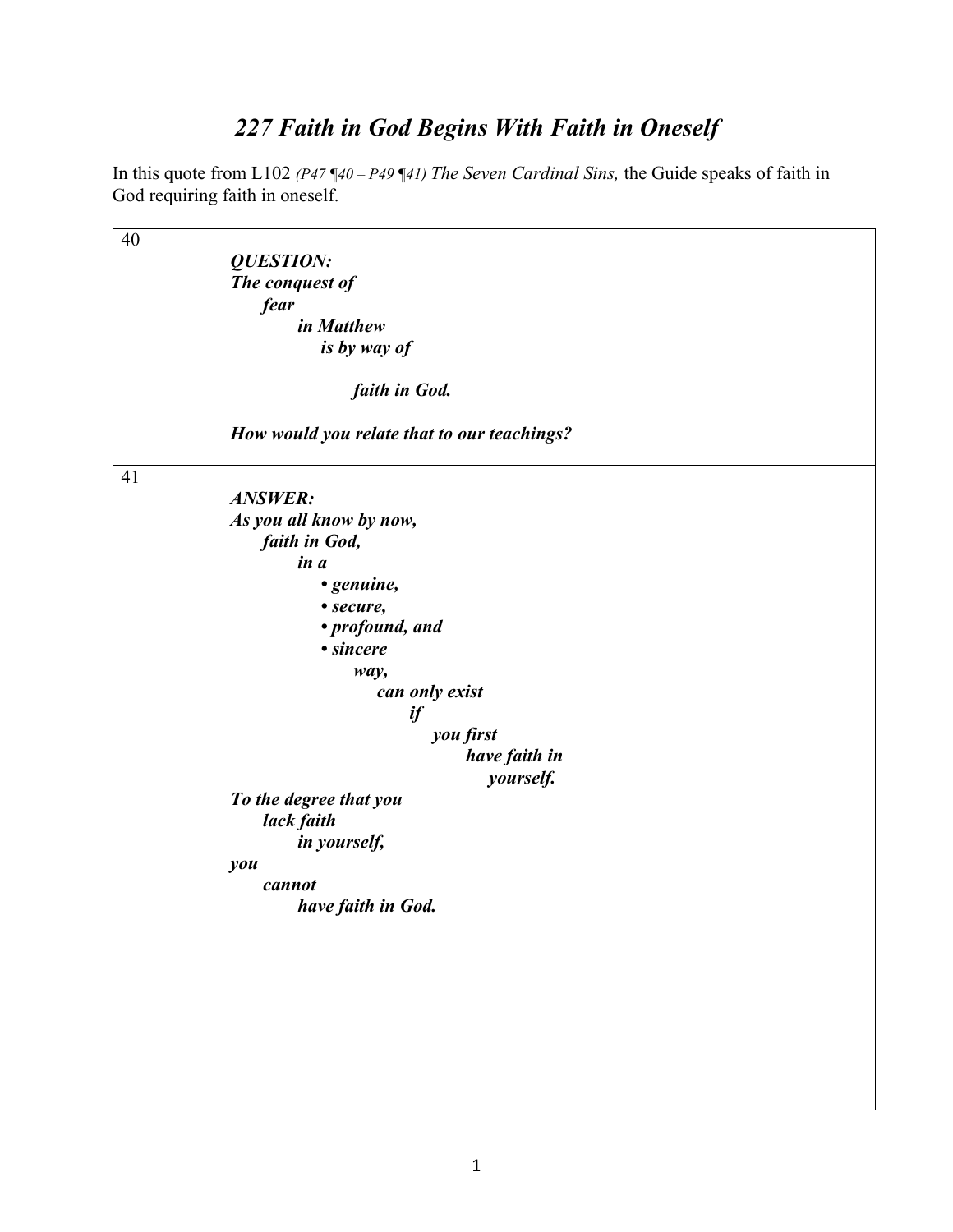## *227 Faith in God Begins With Faith in Oneself*

In this quote from L102 *(P47 ¶40 – P49 ¶41) The Seven Cardinal Sins,* the Guide speaks of faith in God requiring faith in oneself.

| 40 |                                             |
|----|---------------------------------------------|
|    | <b>QUESTION:</b>                            |
|    | The conquest of                             |
|    |                                             |
|    | fear                                        |
|    | in Matthew                                  |
|    | is by way of                                |
|    |                                             |
|    | faith in God.                               |
|    |                                             |
|    |                                             |
|    | How would you relate that to our teachings? |
|    |                                             |
| 41 |                                             |
|    | <b>ANSWER:</b>                              |
|    | As you all know by now,                     |
|    |                                             |
|    | faith in God,                               |
|    | in a                                        |
|    | • genuine,                                  |
|    | • secure,                                   |
|    | • profound, and                             |
|    |                                             |
|    | • sincere                                   |
|    | way,                                        |
|    | can only exist                              |
|    | if                                          |
|    | you first                                   |
|    |                                             |
|    | have faith in                               |
|    | yourself.                                   |
|    | To the degree that you                      |
|    | lack faith                                  |
|    | in yourself,                                |
|    |                                             |
|    | you                                         |
|    | cannot                                      |
|    | have faith in God.                          |
|    |                                             |
|    |                                             |
|    |                                             |
|    |                                             |
|    |                                             |
|    |                                             |
|    |                                             |
|    |                                             |
|    |                                             |
|    |                                             |
|    |                                             |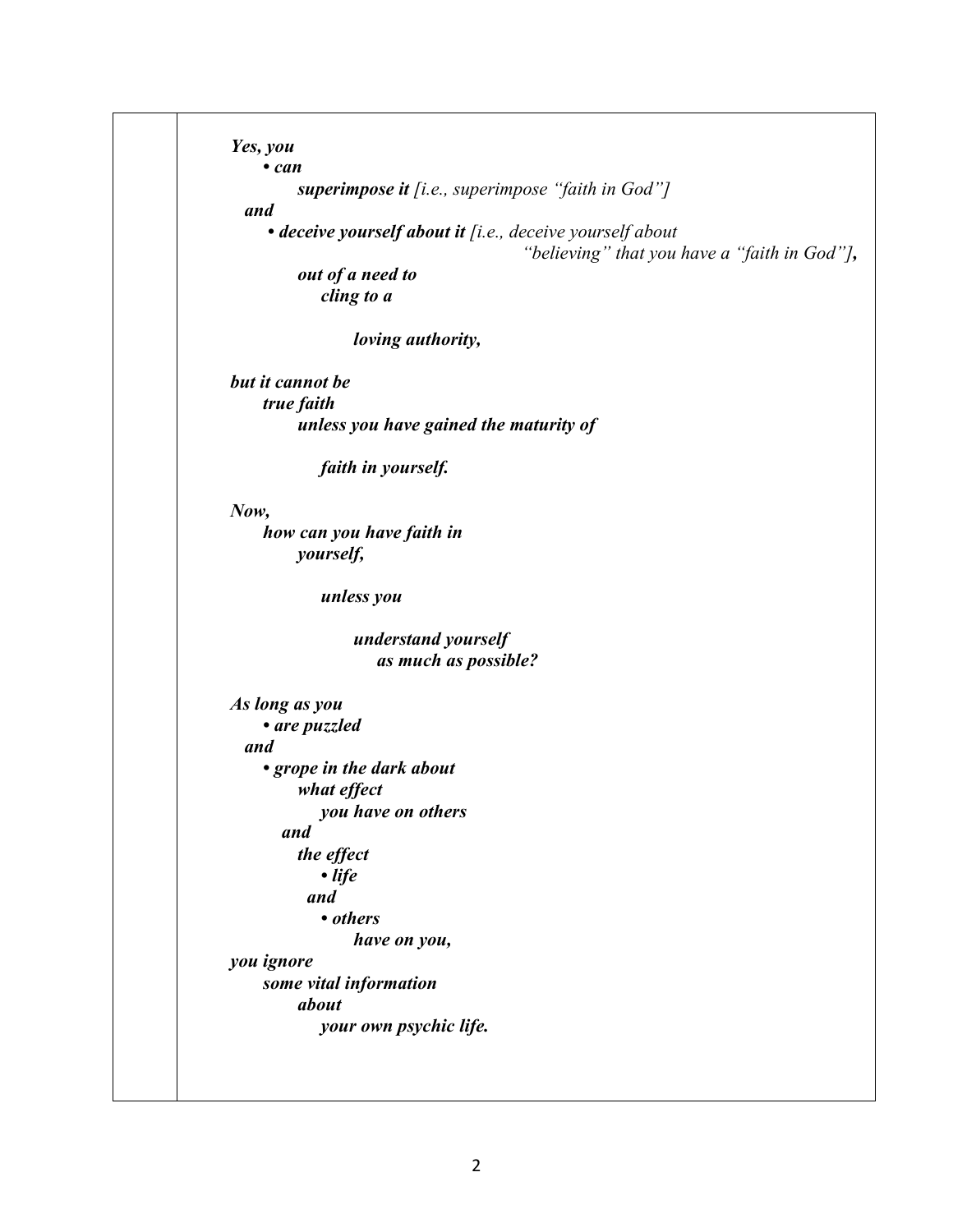| $\cdot$ can                                                                                               |
|-----------------------------------------------------------------------------------------------------------|
| superimpose it $[i.e., superimpose "faith in God"]$<br>and                                                |
| · deceive yourself about it [i.e., deceive yourself about<br>"believing" that you have a "faith in God"], |
| out of a need to                                                                                          |
| cling to a                                                                                                |
| loving authority,                                                                                         |
| but it cannot be                                                                                          |
| true faith                                                                                                |
| unless you have gained the maturity of                                                                    |
| faith in yourself.                                                                                        |
| Now,                                                                                                      |
| how can you have faith in                                                                                 |
| <i>yourself,</i>                                                                                          |
| unless you                                                                                                |
| understand yourself                                                                                       |
| as much as possible?                                                                                      |
| As long as you                                                                                            |
| • are puzzled                                                                                             |
| and                                                                                                       |
| • grope in the dark about                                                                                 |
| what effect                                                                                               |
| you have on others                                                                                        |
| and                                                                                                       |
| the effect                                                                                                |
| $\bullet$ life                                                                                            |
| and                                                                                                       |
| • others                                                                                                  |
| have on you,                                                                                              |
| you ignore                                                                                                |
| some vital information                                                                                    |
| about                                                                                                     |
| your own psychic life.                                                                                    |